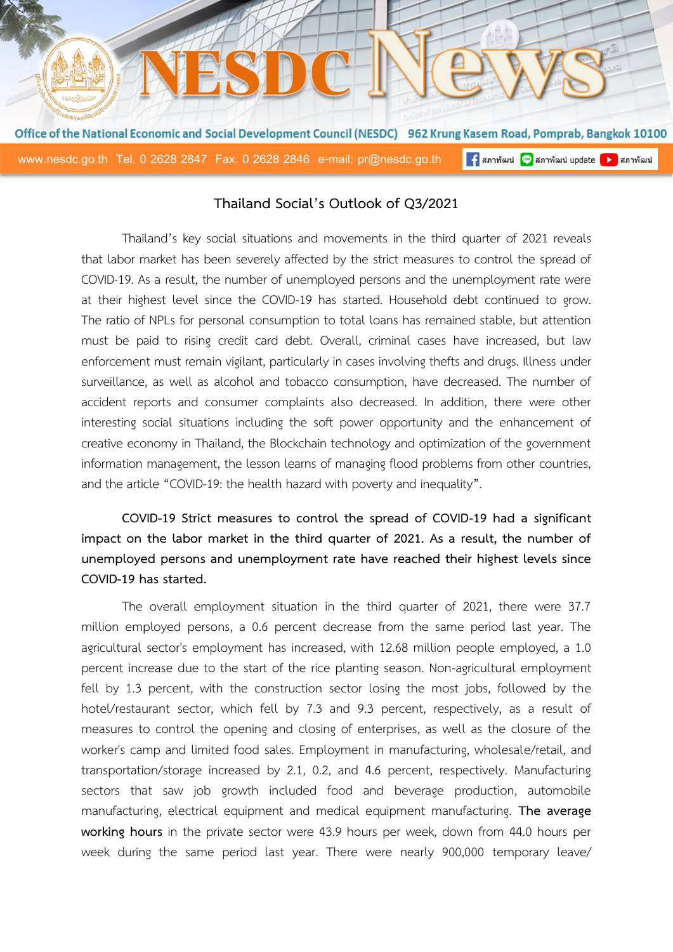

### **Thailand Social's Outlook of Q3/2021**

Thailand's key social situations and movements in the third quarter of 2021 reveals that labor market has been severely affected by the strict measures to control the spread of COVID-19. As a result, the number of unemployed persons and the unemployment rate were at their highest level since the COVID-19 has started. Household debt continued to grow. The ratio of NPLs for personal consumption to total loans has remained stable, but attention must be paid to rising credit card debt. Overall, criminal cases have increased, but law enforcement must remain vigilant, particularly in cases involving thefts and drugs. Illness under surveillance, as well as alcohol and tobacco consumption, have decreased. The number of accident reports and consumer complaints also decreased. In addition, there were other interesting social situations including the soft power opportunity and the enhancement of creative economy in Thailand, the Blockchain technology and optimization of the government information management, the lesson learns of managing flood problems from other countries, and the article "COVID-19: the health hazard with poverty and inequality".

**COVID-19 Strict measures to control the spread of COVID-19 had a significant impact on the labor market in the third quarter of 2021. As a result, the number of unemployed persons and unemployment rate have reached their highest levels since COVID-19 has started.**

The overall employment situation in the third quarter of 2021, there were 37.7 million employed persons, a 0.6 percent decrease from the same period last year. The agricultural sector's employment has increased, with 12.68 million people employed, a 1.0 percent increase due to the start of the rice planting season. Non-agricultural employment fell by 1.3 percent, with the construction sector losing the most jobs, followed by the hotel/restaurant sector, which fell by 7.3 and 9.3 percent, respectively, as a result of measures to control the opening and closing of enterprises, as well as the closure of the worker's camp and limited food sales. Employment in manufacturing, wholesale/retail, and transportation/storage increased by 2.1, 0.2, and 4.6 percent, respectively. Manufacturing sectors that saw job growth included food and beverage production, automobile manufacturing, electrical equipment and medical equipment manufacturing. **The average working hours** in the private sector were 43.9 hours per week, down from 44.0 hours per week during the same period last year. There were nearly 900,000 temporary leave/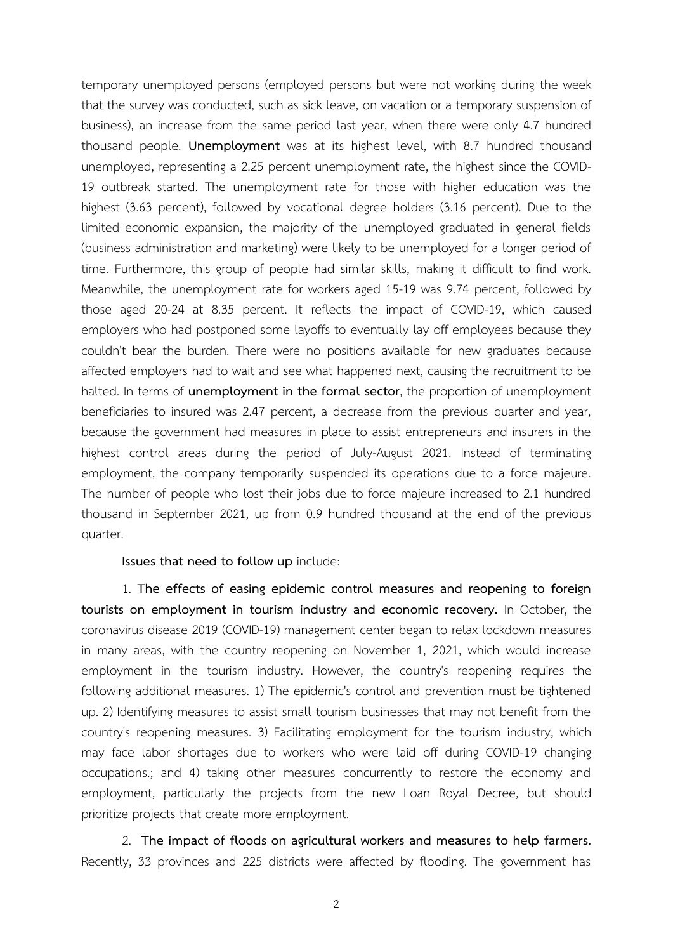temporary unemployed persons (employed persons but were not working during the week that the survey was conducted, such as sick leave, on vacation or a temporary suspension of business), an increase from the same period last year, when there were only 4.7 hundred thousand people. **Unemployment** was at its highest level, with 8.7 hundred thousand unemployed, representing a 2.25 percent unemployment rate, the highest since the COVID-19 outbreak started. The unemployment rate for those with higher education was the highest (3.63 percent), followed by vocational degree holders (3.16 percent). Due to the limited economic expansion, the majority of the unemployed graduated in general fields (business administration and marketing) were likely to be unemployed for a longer period of time. Furthermore, this group of people had similar skills, making it difficult to find work. Meanwhile, the unemployment rate for workers aged 15-19 was 9.74 percent, followed by those aged 20-24 at 8.35 percent. It reflects the impact of COVID-19, which caused employers who had postponed some layoffs to eventually lay off employees because they couldn't bear the burden. There were no positions available for new graduates because affected employers had to wait and see what happened next, causing the recruitment to be halted. In terms of **unemployment in the formal sector**, the proportion of unemployment beneficiaries to insured was 2.47 percent, a decrease from the previous quarter and year, because the government had measures in place to assist entrepreneurs and insurers in the highest control areas during the period of July-August 2021. Instead of terminating employment, the company temporarily suspended its operations due to a force majeure. The number of people who lost their jobs due to force majeure increased to 2.1 hundred thousand in September 2021, up from 0.9 hundred thousand at the end of the previous quarter.

**Issues that need to follow up** include:

1. **The effects of easing epidemic control measures and reopening to foreign tourists on employment in tourism industry and economic recovery.** In October, the coronavirus disease 2019 (COVID-19) management center began to relax lockdown measures in many areas, with the country reopening on November 1, 2021, which would increase employment in the tourism industry. However, the country's reopening requires the following additional measures. 1) The epidemic's control and prevention must be tightened up. 2) Identifying measures to assist small tourism businesses that may not benefit from the country's reopening measures. 3) Facilitating employment for the tourism industry, which may face labor shortages due to workers who were laid off during COVID-19 changing occupations.; and 4) taking other measures concurrently to restore the economy and employment, particularly the projects from the new Loan Royal Decree, but should prioritize projects that create more employment.

2. **The impact of floods on agricultural workers and measures to help farmers.**  Recently, 33 provinces and 225 districts were affected by flooding. The government has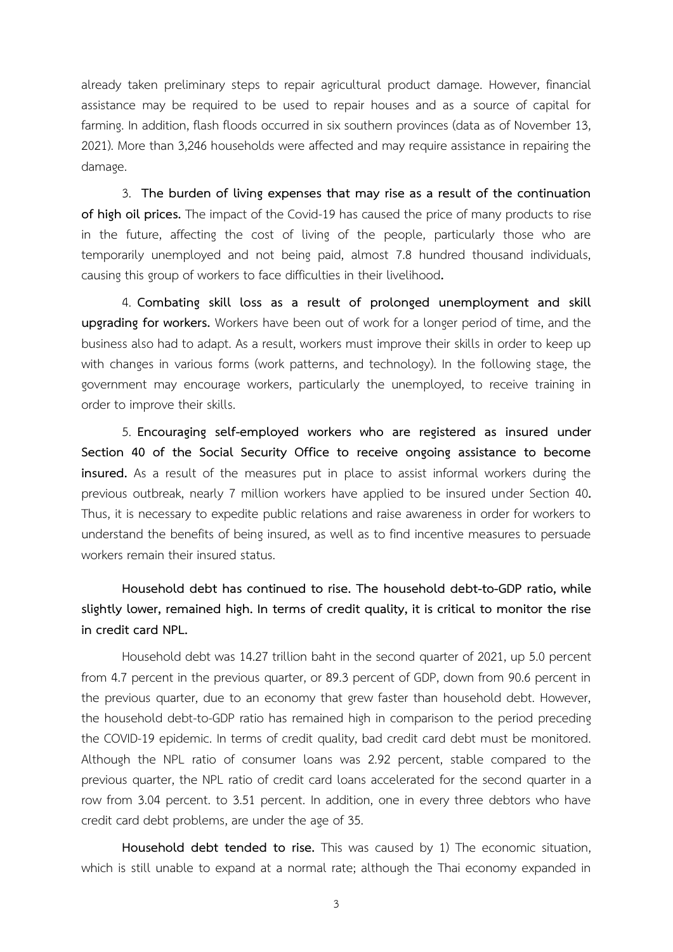already taken preliminary steps to repair agricultural product damage. However, financial assistance may be required to be used to repair houses and as a source of capital for farming. In addition, flash floods occurred in six southern provinces (data as of November 13, 2021). More than 3,246 households were affected and may require assistance in repairing the damage.

3. **The burden of living expenses that may rise as a result of the continuation of high oil prices.** The impact of the Covid-19 has caused the price of many products to rise in the future, affecting the cost of living of the people, particularly those who are temporarily unemployed and not being paid, almost 7.8 hundred thousand individuals, causing this group of workers to face difficulties in their livelihood**.** 

4. **Combating skill loss as a result of prolonged unemployment and skill upgrading for workers.** Workers have been out of work for a longer period of time, and the business also had to adapt. As a result, workers must improve their skills in order to keep up with changes in various forms (work patterns, and technology). In the following stage, the government may encourage workers, particularly the unemployed, to receive training in order to improve their skills.

5. **Encouraging self-employed workers who are registered as insured under Section 40 of the Social Security Office to receive ongoing assistance to become insured.** As a result of the measures put in place to assist informal workers during the previous outbreak, nearly 7 million workers have applied to be insured under Section 40**.**  Thus, it is necessary to expedite public relations and raise awareness in order for workers to understand the benefits of being insured, as well as to find incentive measures to persuade workers remain their insured status.

**Household debt has continued to rise. The household debt-to-GDP ratio, while slightly lower, remained high. In terms of credit quality, it is critical to monitor the rise in credit card NPL.**

Household debt was 14.27 trillion baht in the second quarter of 2021, up 5.0 percent from 4.7 percent in the previous quarter, or 89.3 percent of GDP, down from 90.6 percent in the previous quarter, due to an economy that grew faster than household debt. However, the household debt-to-GDP ratio has remained high in comparison to the period preceding the COVID-19 epidemic. In terms of credit quality, bad credit card debt must be monitored. Although the NPL ratio of consumer loans was 2.92 percent, stable compared to the previous quarter, the NPL ratio of credit card loans accelerated for the second quarter in a row from 3.04 percent. to 3.51 percent. In addition, one in every three debtors who have credit card debt problems, are under the age of 35.

**Household debt tended to rise.** This was caused by 1) The economic situation, which is still unable to expand at a normal rate; although the Thai economy expanded in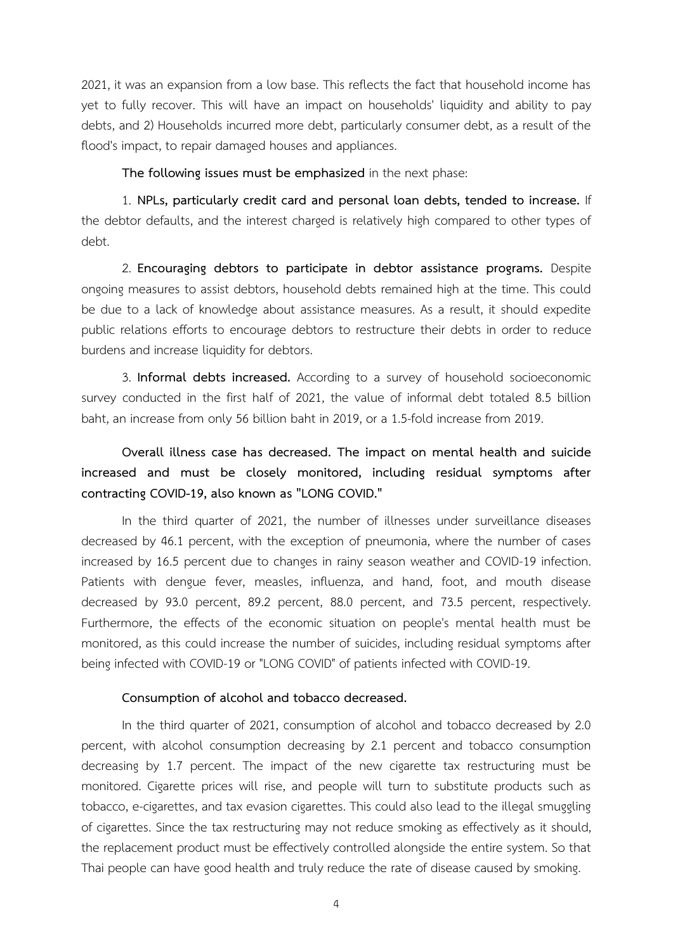2021, it was an expansion from a low base. This reflects the fact that household income has yet to fully recover. This will have an impact on households' liquidity and ability to pay debts, and 2) Households incurred more debt, particularly consumer debt, as a result of the flood's impact, to repair damaged houses and appliances.

**The following issues must be emphasized** in the next phase:

1. **NPLs, particularly credit card and personal loan debts, tended to increase.** If the debtor defaults, and the interest charged is relatively high compared to other types of debt.

2. **Encouraging debtors to participate in debtor assistance programs.** Despite ongoing measures to assist debtors, household debts remained high at the time. This could be due to a lack of knowledge about assistance measures. As a result, it should expedite public relations efforts to encourage debtors to restructure their debts in order to reduce burdens and increase liquidity for debtors.

3. **Informal debts increased.** According to a survey of household socioeconomic survey conducted in the first half of 2021, the value of informal debt totaled 8.5 billion baht, an increase from only 56 billion baht in 2019, or a 1.5-fold increase from 2019.

# **Overall illness case has decreased. The impact on mental health and suicide increased and must be closely monitored, including residual symptoms after contracting COVID-19, also known as "LONG COVID."**

In the third quarter of 2021, the number of illnesses under surveillance diseases decreased by 46.1 percent, with the exception of pneumonia, where the number of cases increased by 16.5 percent due to changes in rainy season weather and COVID-19 infection. Patients with dengue fever, measles, influenza, and hand, foot, and mouth disease decreased by 93.0 percent, 89.2 percent, 88.0 percent, and 73.5 percent, respectively. Furthermore, the effects of the economic situation on people's mental health must be monitored, as this could increase the number of suicides, including residual symptoms after being infected with COVID-19 or "LONG COVID" of patients infected with COVID-19.

### **Consumption of alcohol and tobacco decreased.**

In the third quarter of 2021, consumption of alcohol and tobacco decreased by 2.0 percent, with alcohol consumption decreasing by 2.1 percent and tobacco consumption decreasing by 1.7 percent. The impact of the new cigarette tax restructuring must be monitored. Cigarette prices will rise, and people will turn to substitute products such as tobacco, e-cigarettes, and tax evasion cigarettes. This could also lead to the illegal smuggling of cigarettes. Since the tax restructuring may not reduce smoking as effectively as it should, the replacement product must be effectively controlled alongside the entire system. So that Thai people can have good health and truly reduce the rate of disease caused by smoking.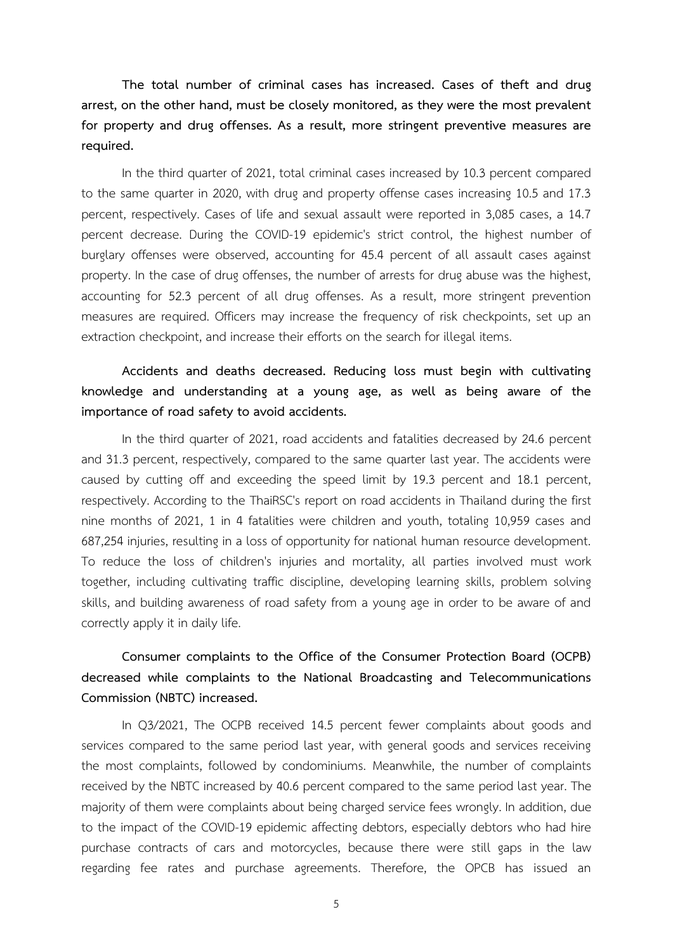**The total number of criminal cases has increased. Cases of theft and drug arrest, on the other hand, must be closely monitored, as they were the most prevalent for property and drug offenses. As a result, more stringent preventive measures are required.**

In the third quarter of 2021, total criminal cases increased by 10.3 percent compared to the same quarter in 2020, with drug and property offense cases increasing 10.5 and 17.3 percent, respectively. Cases of life and sexual assault were reported in 3,085 cases, a 14.7 percent decrease. During the COVID-19 epidemic's strict control, the highest number of burglary offenses were observed, accounting for 45.4 percent of all assault cases against property. In the case of drug offenses, the number of arrests for drug abuse was the highest, accounting for 52.3 percent of all drug offenses. As a result, more stringent prevention measures are required. Officers may increase the frequency of risk checkpoints, set up an extraction checkpoint, and increase their efforts on the search for illegal items.

## **Accidents and deaths decreased. Reducing loss must begin with cultivating knowledge and understanding at a young age, as well as being aware of the importance of road safety to avoid accidents.**

In the third quarter of 2021, road accidents and fatalities decreased by 24.6 percent and 31.3 percent, respectively, compared to the same quarter last year. The accidents were caused by cutting off and exceeding the speed limit by 19.3 percent and 18.1 percent, respectively. According to the ThaiRSC's report on road accidents in Thailand during the first nine months of 2021, 1 in 4 fatalities were children and youth, totaling 10,959 cases and 687,254 injuries, resulting in a loss of opportunity for national human resource development. To reduce the loss of children's injuries and mortality, all parties involved must work together, including cultivating traffic discipline, developing learning skills, problem solving skills, and building awareness of road safety from a young age in order to be aware of and correctly apply it in daily life.

# **Consumer complaints to the Office of the Consumer Protection Board (OCPB) decreased while complaints to the National Broadcasting and Telecommunications Commission (NBTC) increased.**

In Q3/2021, The OCPB received 14.5 percent fewer complaints about goods and services compared to the same period last year, with general goods and services receiving the most complaints, followed by condominiums. Meanwhile, the number of complaints received by the NBTC increased by 40.6 percent compared to the same period last year. The majority of them were complaints about being charged service fees wrongly. In addition, due to the impact of the COVID-19 epidemic affecting debtors, especially debtors who had hire purchase contracts of cars and motorcycles, because there were still gaps in the law regarding fee rates and purchase agreements. Therefore, the OPCB has issued an

5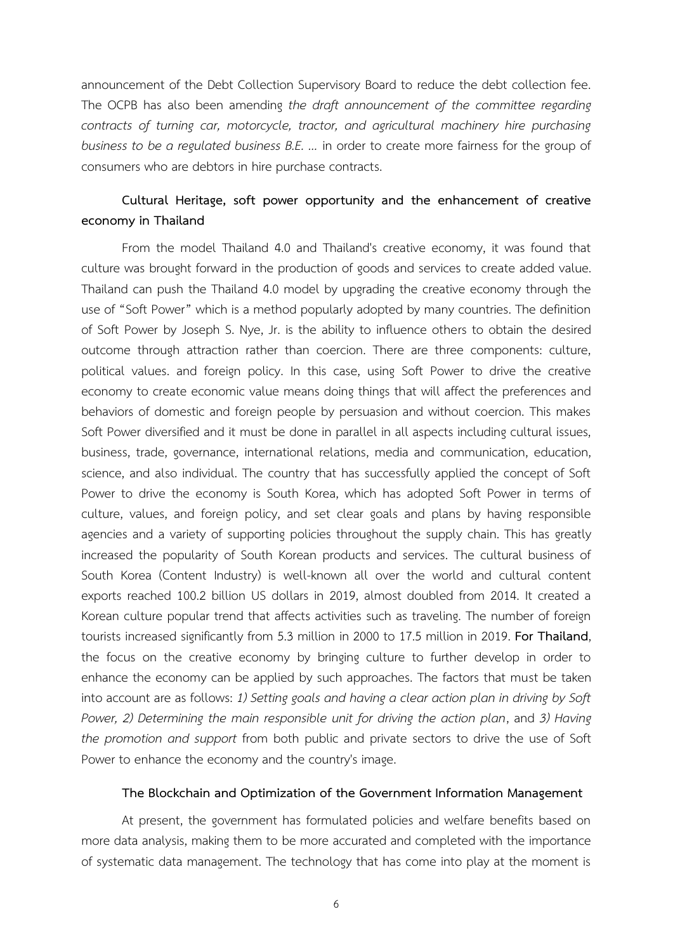announcement of the Debt Collection Supervisory Board to reduce the debt collection fee. The OCPB has also been amending *the draft announcement of the committee regarding contracts of turning car, motorcycle, tractor, and agricultural machinery hire purchasing business to be a regulated business B.E. ...* in order to create more fairness for the group of consumers who are debtors in hire purchase contracts.

## **Cultural Heritage, soft power opportunity and the enhancement of creative economy in Thailand**

From the model Thailand 4.0 and Thailand's creative economy, it was found that culture was brought forward in the production of goods and services to create added value. Thailand can push the Thailand 4.0 model by upgrading the creative economy through the use of "Soft Power" which is a method popularly adopted by many countries. The definition of Soft Power by Joseph S. Nye, Jr. is the ability to influence others to obtain the desired outcome through attraction rather than coercion. There are three components: culture, political values. and foreign policy. In this case, using Soft Power to drive the creative economy to create economic value means doing things that will affect the preferences and behaviors of domestic and foreign people by persuasion and without coercion. This makes Soft Power diversified and it must be done in parallel in all aspects including cultural issues, business, trade, governance, international relations, media and communication, education, science, and also individual. The country that has successfully applied the concept of Soft Power to drive the economy is South Korea, which has adopted Soft Power in terms of culture, values, and foreign policy, and set clear goals and plans by having responsible agencies and a variety of supporting policies throughout the supply chain. This has greatly increased the popularity of South Korean products and services. The cultural business of South Korea (Content Industry) is well-known all over the world and cultural content exports reached 100.2 billion US dollars in 2019, almost doubled from 2014. It created a Korean culture popular trend that affects activities such as traveling. The number of foreign tourists increased significantly from 5.3 million in 2000 to 17.5 million in 2019. **For Thailand**, the focus on the creative economy by bringing culture to further develop in order to enhance the economy can be applied by such approaches. The factors that must be taken into account are as follows: *1) Setting goals and having a clear action plan in driving by Soft Power, 2) Determining the main responsible unit for driving the action plan*, and *3) Having the promotion and support* from both public and private sectors to drive the use of Soft Power to enhance the economy and the country's image.

#### **The Blockchain and Optimization of the Government Information Management**

At present, the government has formulated policies and welfare benefits based on more data analysis, making them to be more accurated and completed with the importance of systematic data management. The technology that has come into play at the moment is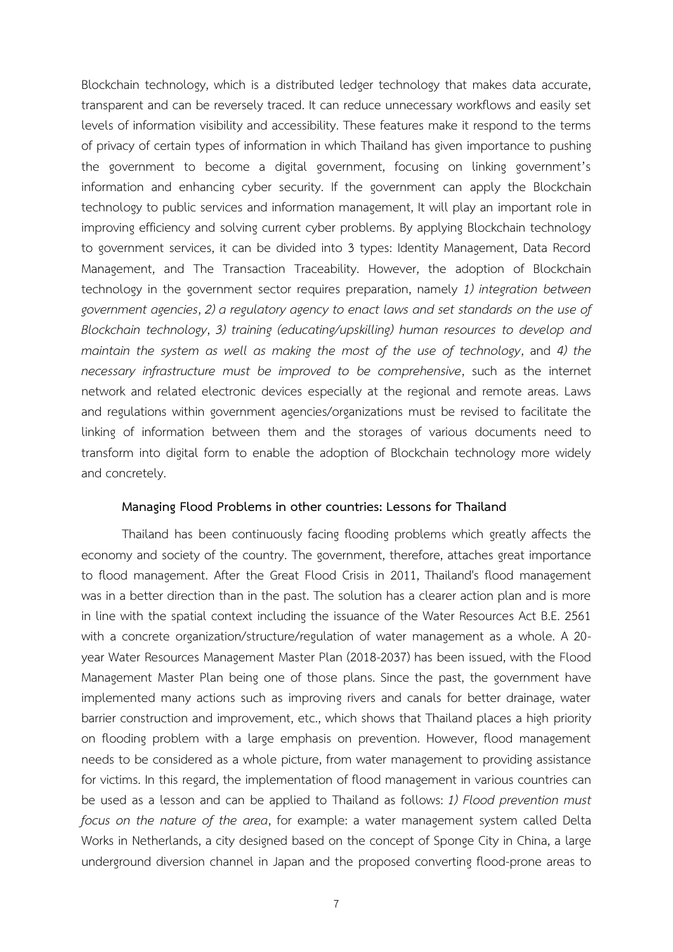Blockchain technology, which is a distributed ledger technology that makes data accurate, transparent and can be reversely traced. It can reduce unnecessary workflows and easily set levels of information visibility and accessibility. These features make it respond to the terms of privacy of certain types of information in which Thailand has given importance to pushing the government to become a digital government, focusing on linking government's information and enhancing cyber security. If the government can apply the Blockchain technology to public services and information management, It will play an important role in improving efficiency and solving current cyber problems. By applying Blockchain technology to government services, it can be divided into 3 types: Identity Management, Data Record Management, and The Transaction Traceability. However, the adoption of Blockchain technology in the government sector requires preparation, namely *1) integration between government agencies*, *2) a regulatory agency to enact laws and set standards on the use of Blockchain technology*, *3) training (educating/upskilling) human resources to develop and maintain the system as well as making the most of the use of technology*, and *4) the necessary infrastructure must be improved to be comprehensive*, such as the internet network and related electronic devices especially at the regional and remote areas. Laws and regulations within government agencies/organizations must be revised to facilitate the linking of information between them and the storages of various documents need to transform into digital form to enable the adoption of Blockchain technology more widely and concretely.

#### **Managing Flood Problems in other countries: Lessons for Thailand**

Thailand has been continuously facing flooding problems which greatly affects the economy and society of the country. The government, therefore, attaches great importance to flood management. After the Great Flood Crisis in 2011, Thailand's flood management was in a better direction than in the past. The solution has a clearer action plan and is more in line with the spatial context including the issuance of the Water Resources Act B.E. 2561 with a concrete organization/structure/regulation of water management as a whole. A 20 year Water Resources Management Master Plan (2018-2037) has been issued, with the Flood Management Master Plan being one of those plans. Since the past, the government have implemented many actions such as improving rivers and canals for better drainage, water barrier construction and improvement, etc., which shows that Thailand places a high priority on flooding problem with a large emphasis on prevention. However, flood management needs to be considered as a whole picture, from water management to providing assistance for victims. In this regard, the implementation of flood management in various countries can be used as a lesson and can be applied to Thailand as follows: *1) Flood prevention must focus on the nature of the area*, for example: a water management system called Delta Works in Netherlands, a city designed based on the concept of Sponge City in China, a large underground diversion channel in Japan and the proposed converting flood-prone areas to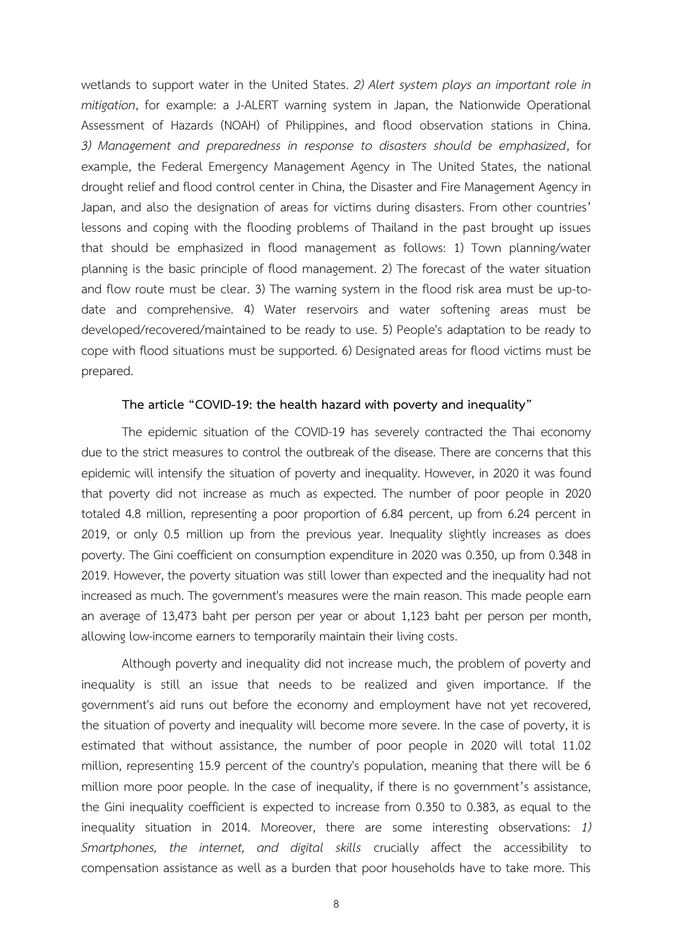wetlands to support water in the United States. *2) Alert system plays an important role in mitigation*, for example: a J-ALERT warning system in Japan, the Nationwide Operational Assessment of Hazards (NOAH) of Philippines, and flood observation stations in China. *3) Management and preparedness in response to disasters should be emphasized*, for example, the Federal Emergency Management Agency in The United States, the national drought relief and flood control center in China, the Disaster and Fire Management Agency in Japan, and also the designation of areas for victims during disasters. From other countries' lessons and coping with the flooding problems of Thailand in the past brought up issues that should be emphasized in flood management as follows: 1) Town planning/water planning is the basic principle of flood management. 2) The forecast of the water situation and flow route must be clear. 3) The warning system in the flood risk area must be up-todate and comprehensive. 4) Water reservoirs and water softening areas must be developed/recovered/maintained to be ready to use. 5) People's adaptation to be ready to cope with flood situations must be supported. 6) Designated areas for flood victims must be prepared.

#### **The article "COVID-19: the health hazard with poverty and inequality"**

The epidemic situation of the COVID-19 has severely contracted the Thai economy due to the strict measures to control the outbreak of the disease. There are concerns that this epidemic will intensify the situation of poverty and inequality. However, in 2020 it was found that poverty did not increase as much as expected. The number of poor people in 2020 totaled 4.8 million, representing a poor proportion of 6.84 percent, up from 6.24 percent in 2019, or only 0.5 million up from the previous year. Inequality slightly increases as does poverty. The Gini coefficient on consumption expenditure in 2020 was 0.350, up from 0.348 in 2019. However, the poverty situation was still lower than expected and the inequality had not increased as much. The government's measures were the main reason. This made people earn an average of 13,473 baht per person per year or about 1,123 baht per person per month, allowing low-income earners to temporarily maintain their living costs.

Although poverty and inequality did not increase much, the problem of poverty and inequality is still an issue that needs to be realized and given importance. If the government's aid runs out before the economy and employment have not yet recovered, the situation of poverty and inequality will become more severe. In the case of poverty, it is estimated that without assistance, the number of poor people in 2020 will total 11.02 million, representing 15.9 percent of the country's population, meaning that there will be 6 million more poor people. In the case of inequality, if there is no government's assistance, the Gini inequality coefficient is expected to increase from 0.350 to 0.383, as equal to the inequality situation in 2014. Moreover, there are some interesting observations: *1) Smartphones, the internet, and digital skills* crucially affect the accessibility to compensation assistance as well as a burden that poor households have to take more. This

8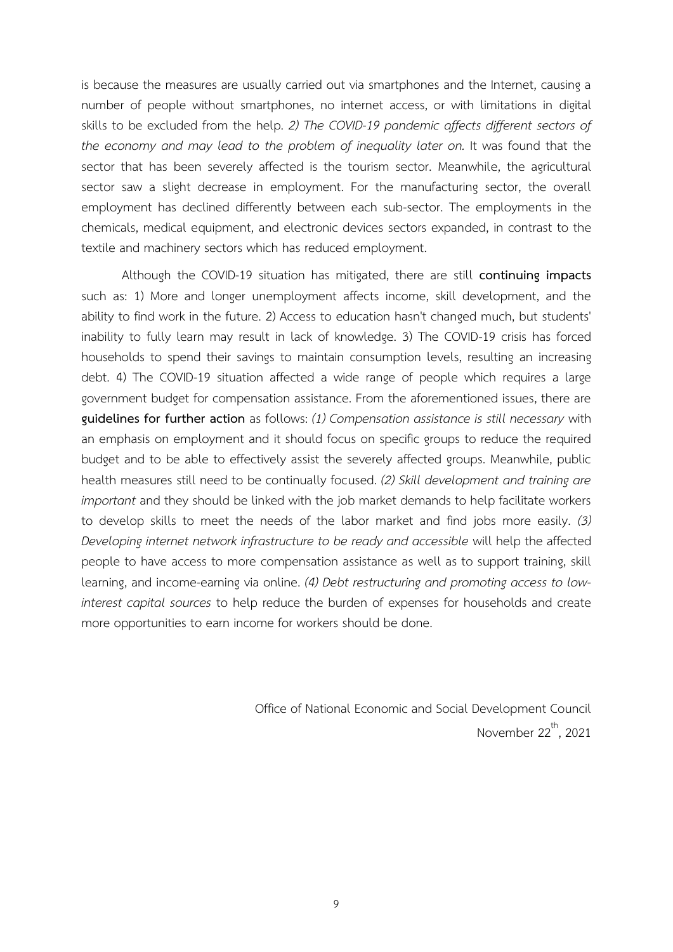is because the measures are usually carried out via smartphones and the Internet, causing a number of people without smartphones, no internet access, or with limitations in digital skills to be excluded from the help. *2) The COVID-19 pandemic affects different sectors of the economy and may lead to the problem of inequality later on.* It was found that the sector that has been severely affected is the tourism sector. Meanwhile, the agricultural sector saw a slight decrease in employment. For the manufacturing sector, the overall employment has declined differently between each sub-sector. The employments in the chemicals, medical equipment, and electronic devices sectors expanded, in contrast to the textile and machinery sectors which has reduced employment.

Although the COVID-19 situation has mitigated, there are still **continuing impacts** such as: 1) More and longer unemployment affects income, skill development, and the ability to find work in the future. 2) Access to education hasn't changed much, but students' inability to fully learn may result in lack of knowledge. 3) The COVID-19 crisis has forced households to spend their savings to maintain consumption levels, resulting an increasing debt. 4) The COVID-19 situation affected a wide range of people which requires a large government budget for compensation assistance. From the aforementioned issues, there are **guidelines for further action** as follows: *(1) Compensation assistance is still necessary* with an emphasis on employment and it should focus on specific groups to reduce the required budget and to be able to effectively assist the severely affected groups. Meanwhile, public health measures still need to be continually focused. *(2) Skill development and training are important* and they should be linked with the job market demands to help facilitate workers to develop skills to meet the needs of the labor market and find jobs more easily. *(3) Developing internet network infrastructure to be ready and accessible* will help the affected people to have access to more compensation assistance as well as to support training, skill learning, and income-earning via online. *(4) Debt restructuring and promoting access to lowinterest capital sources* to help reduce the burden of expenses for households and create more opportunities to earn income for workers should be done.

> Office of National Economic and Social Development Council November 22<sup>th</sup>, 2021